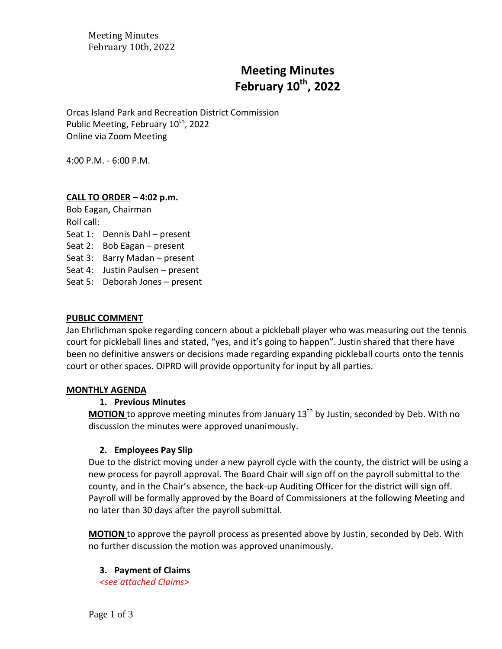Meeting Minutes February 10th, 2022

# **Meeting Minutes February 10 th , 2022**

Orcas Island Park and Recreation District Commission Public Meeting, February 10<sup>th</sup>, 2022 Online via Zoom Meeting

4:00 P.M. - 6:00 P.M.

#### **CALL TO ORDER** *–* **4:02 p.m.**

Bob Eagan, Chairman Roll call: Seat 1: Dennis Dahl – present Seat 2: Bob Eagan – present Seat 3: Barry Madan – present Seat 4: Justin Paulsen – present Seat 5: Deborah Jones – present

#### **PUBLIC COMMENT**

Jan Ehrlichman spoke regarding concern about a pickleball player who was measuring out the tennis court for pickleball lines and stated, "yes, and it's going to happen". Justin shared that there have been no definitive answers or decisions made regarding expanding pickleball courts onto the tennis court or other spaces. OIPRD will provide opportunity for input by all parties.

#### **MONTHLY AGENDA**

#### **1. Previous Minutes**

**MOTION** to approve meeting minutes from January 13<sup>th</sup> by Justin, seconded by Deb. With no discussion the minutes were approved unanimously.

#### **2. Employees Pay Slip**

Due to the district moving under a new payroll cycle with the county, the district will be using a new process for payroll approval. The Board Chair will sign off on the payroll submittal to the county, and in the Chair's absence, the back-up Auditing Officer for the district will sign off. Payroll will be formally approved by the Board of Commissioners at the following Meeting and no later than 30 days after the payroll submittal.

**MOTION** to approve the payroll process as presented above by Justin, seconded by Deb. With no further discussion the motion was approved unanimously.

#### **3. Payment of Claims**

*<see attached Claims>*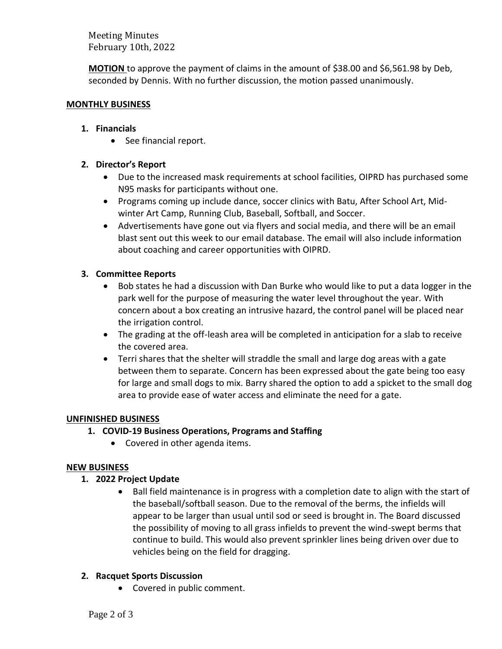Meeting Minutes February 10th, 2022

**MOTION** to approve the payment of claims in the amount of \$38.00 and \$6,561.98 by Deb, seconded by Dennis. With no further discussion, the motion passed unanimously.

#### **MONTHLY BUSINESS**

### **1. Financials**

• See financial report.

## **2. Director's Report**

- Due to the increased mask requirements at school facilities, OIPRD has purchased some N95 masks for participants without one.
- Programs coming up include dance, soccer clinics with Batu, After School Art, Midwinter Art Camp, Running Club, Baseball, Softball, and Soccer.
- Advertisements have gone out via flyers and social media, and there will be an email blast sent out this week to our email database. The email will also include information about coaching and career opportunities with OIPRD.

## **3. Committee Reports**

- Bob states he had a discussion with Dan Burke who would like to put a data logger in the park well for the purpose of measuring the water level throughout the year. With concern about a box creating an intrusive hazard, the control panel will be placed near the irrigation control.
- The grading at the off-leash area will be completed in anticipation for a slab to receive the covered area.
- Terri shares that the shelter will straddle the small and large dog areas with a gate between them to separate. Concern has been expressed about the gate being too easy for large and small dogs to mix. Barry shared the option to add a spicket to the small dog area to provide ease of water access and eliminate the need for a gate.

## **UNFINISHED BUSINESS**

## **1. COVID-19 Business Operations, Programs and Staffing**

• Covered in other agenda items.

## **NEW BUSINESS**

## **1. 2022 Project Update**

• Ball field maintenance is in progress with a completion date to align with the start of the baseball/softball season. Due to the removal of the berms, the infields will appear to be larger than usual until sod or seed is brought in. The Board discussed the possibility of moving to all grass infields to prevent the wind-swept berms that continue to build. This would also prevent sprinkler lines being driven over due to vehicles being on the field for dragging.

## **2. Racquet Sports Discussion**

• Covered in public comment.